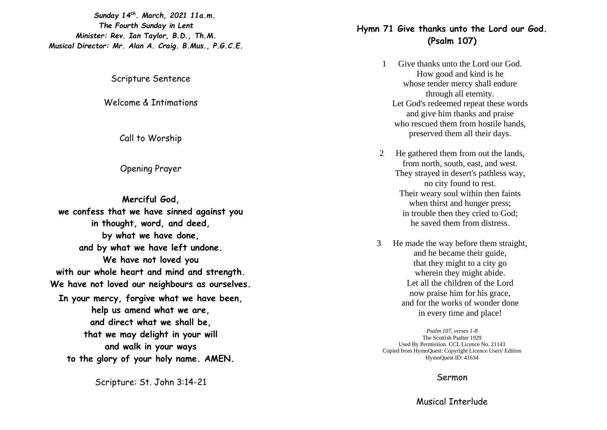*Sunday 14th . March , 2021 11a.m. The Fourth Sunday in Lent Minister: Rev. Ian Taylor, B.D., Th.M. Musical Director: Mr. Alan A. Craig. B.Mus., P.G.C.E.*

Scripture Sentence

Welcome & Intimations

Call to Worship

Opening Prayer

**Merciful God, we confess that we have sinned against you in thought, word, and deed, by what we have done, and by what we have left undone. We have not loved you with our whole heart and mind and strength. We have not loved our neighbours as ourselves. In your mercy, forgive what we have been, help us amend what we are, and direct what we shall be, that we may delight in your will and walk in your ways to the glory of your holy name. AMEN.**

Scripture: St. John 3:14 -21

# **Hymn 71 Give thanks unto the Lord our God. (Psalm 107 )**

- 1 Give thanks unto the Lord our God. How good and kind is he whose tender mercy shall endure through all eternity. Let God's redeemed repeat these words and give him thanks and praise who rescued them from hostile hands, preserved them all their days .
- 2 He gathered them from out the lands, from north, south, east, and west. They strayed in desert's pathless way, no city found to rest. Their weary soul within then faints when thirst and hunger press; in trouble then they cried to God; he saved them from distress.
- 3 He made the way before them straight, and he became their guide, that they might to a city go wherein they might abide. Let all the children of the Lord now praise him for his grace, and for the works of wonder done in every time and place!

*Psalm 107, verses 1 -8*  The Scottish Psalter 1929 Used By Permission. CCL Licence No. 21143 Copied from HymnQuest: Copyright Licence Users' Edition HymnQuest ID: 41634

#### Sermon

### Musical Interlude